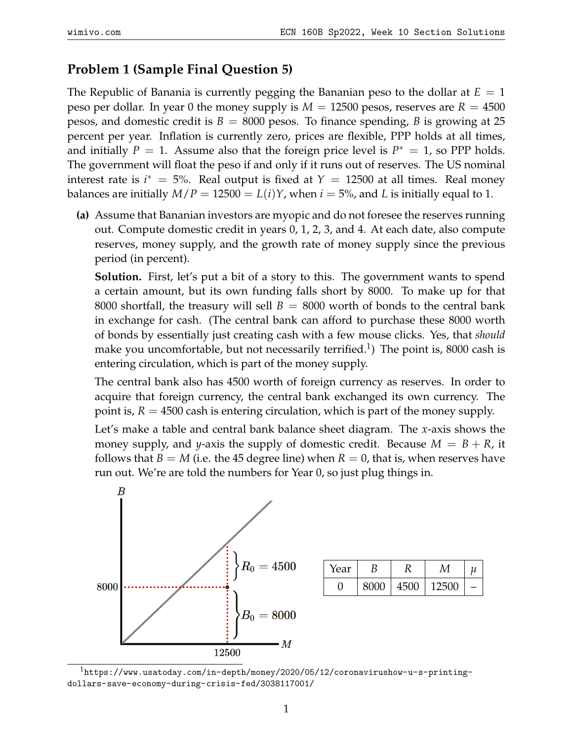## **Problem 1 (Sample Final Question 5)**

The Republic of Banania is currently pegging the Bananian peso to the dollar at  $E = 1$ peso per dollar. In year 0 the money supply is  $M = 12500$  pesos, reserves are  $R = 4500$ pesos, and domestic credit is  $B = 8000$  pesos. To finance spending, B is growing at 25 percent per year. Inflation is currently zero, prices are flexible, PPP holds at all times, and initially  $P = 1$ . Assume also that the foreign price level is  $P^* = 1$ , so PPP holds. The government will float the peso if and only if it runs out of reserves. The US nominal interest rate is  $i^* = 5$ %. Real output is fixed at  $Y = 12500$  at all times. Real money balances are initially  $M/P = 12500 = L(i)Y$ , when  $i = 5\%$ , and L is initially equal to 1.

**(a)** Assume that Bananian investors are myopic and do not foresee the reserves running out. Compute domestic credit in years 0, 1, 2, 3, and 4. At each date, also compute reserves, money supply, and the growth rate of money supply since the previous period (in percent).

**Solution.** First, let's put a bit of a story to this. The government wants to spend a certain amount, but its own funding falls short by 8000. To make up for that 8000 shortfall, the treasury will sell  $B = 8000$  worth of bonds to the central bank in exchange for cash. (The central bank can afford to purchase these 8000 worth of bonds by essentially just creating cash with a few mouse clicks. Yes, that *should* make you uncomfortable, but not necessarily terrified.<sup>[1](#page-0-0)</sup>) The point is, 8000 cash is entering circulation, which is part of the money supply.

The central bank also has 4500 worth of foreign currency as reserves. In order to acquire that foreign currency, the central bank exchanged its own currency. The point is,  $R = 4500$  cash is entering circulation, which is part of the money supply.

Let's make a table and central bank balance sheet diagram. The *x*-axis shows the money supply, and *y*-axis the supply of domestic credit. Because  $M = B + R$ , it follows that *B* = *M* (i.e. the 45 degree line) when *R* = 0, that is, when reserves have run out. We're are told the numbers for Year 0, so just plug things in.



| Year |      |      |       | и |
|------|------|------|-------|---|
|      | 8000 | 4500 | 12500 |   |

<span id="page-0-0"></span> $1$ [https://www.usatoday.com/in-depth/money/2020/05/12/coronavirushow-u-s-printing](https://www.usatoday.com/in-depth/money/2020/05/12/coronavirushow-u-s-printing-dollars-save-economy-during-crisis-fed/3038117001/)[dollars-save-economy-during-crisis-fed/3038117001/](https://www.usatoday.com/in-depth/money/2020/05/12/coronavirushow-u-s-printing-dollars-save-economy-during-crisis-fed/3038117001/)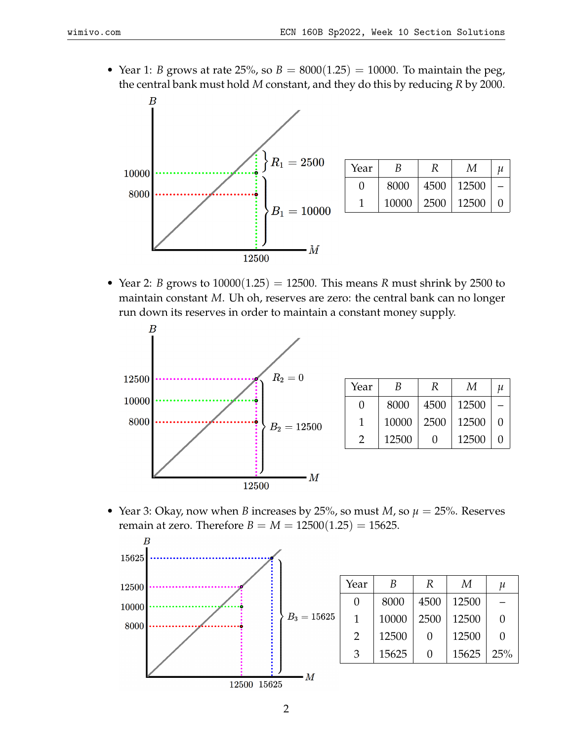• Year 1: *B* grows at rate 25%, so  $B = 8000(1.25) = 10000$ . To maintain the peg, the central bank must hold *M* constant, and they do this by reducing *R* by 2000.



| Year              | B     | R    | М     | 11 |
|-------------------|-------|------|-------|----|
| $\mathbf{\Omega}$ | 8000  | 4500 | 12500 |    |
|                   | 10000 | 2500 | 12500 |    |

• Year 2: *B* grows to  $10000(1.25) = 12500$ . This means *R* must shrink by 2500 to maintain constant *M*. Uh oh, reserves are zero: the central bank can no longer run down its reserves in order to maintain a constant money supply.



| Year | B     | R    | М     | и |
|------|-------|------|-------|---|
| 0    | 8000  | 4500 | 12500 |   |
| 1    | 10000 | 2500 | 12500 |   |
| 2    | 12500 | 0    | 12500 |   |

• Year 3: Okay, now when *B* increases by 25%, so must *M*, so  $\mu = 25$ %. Reserves remain at zero. Therefore *B* = *M* =  $12500(1.25)$  = 15625.



|     | Year | B     | R                 | M     | и                 |
|-----|------|-------|-------------------|-------|-------------------|
| 525 | 0    | 8000  | 4500              | 12500 |                   |
|     | 1    | 10000 | 2500              | 12500 | 0                 |
|     | 2    | 12500 | $\mathbf{0}$      | 12500 | $\mathbf{\Omega}$ |
|     | 3    | 15625 | $\mathbf{\Omega}$ | 15625 | 25%               |
|     |      |       |                   |       |                   |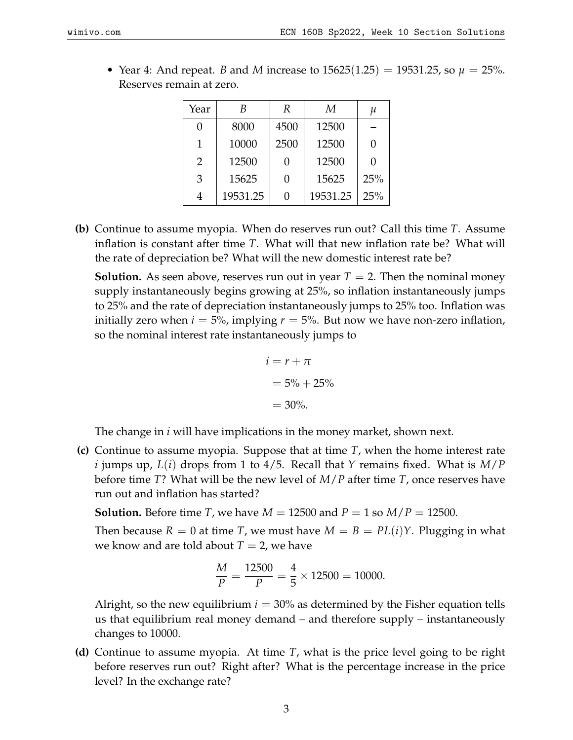| Year          | B        | R    | М        | и   |
|---------------|----------|------|----------|-----|
|               | 8000     | 4500 | 12500    |     |
| 1             | 10000    | 2500 | 12500    | 0   |
| $\mathcal{P}$ | 12500    | O    | 12500    | N   |
| 3             | 15625    | O    | 15625    | 25% |
|               | 19531.25 | 0    | 19531.25 | 25% |

• Year 4: And repeat. *B* and *M* increase to  $15625(1.25) = 19531.25$ , so  $\mu = 25\%$ . Reserves remain at zero.

**(b)** Continue to assume myopia. When do reserves run out? Call this time *T*. Assume inflation is constant after time *T*. What will that new inflation rate be? What will the rate of depreciation be? What will the new domestic interest rate be?

**Solution.** As seen above, reserves run out in year  $T = 2$ . Then the nominal money supply instantaneously begins growing at 25%, so inflation instantaneously jumps to 25% and the rate of depreciation instantaneously jumps to 25% too. Inflation was initially zero when  $i = 5\%$ , implying  $r = 5\%$ . But now we have non-zero inflation, so the nominal interest rate instantaneously jumps to

$$
i = r + \pi
$$

$$
= 5\% + 25\%
$$

$$
= 30\%.
$$

The change in *i* will have implications in the money market, shown next.

**(c)** Continue to assume myopia. Suppose that at time *T*, when the home interest rate *i* jumps up, *L*(*i*) drops from 1 to 4/5. Recall that *Y* remains fixed. What is *M*/*P* before time *T*? What will be the new level of *M*/*P* after time *T*, once reserves have run out and inflation has started?

**Solution.** Before time *T*, we have  $M = 12500$  and  $P = 1$  so  $M/P = 12500$ .

Then because  $R = 0$  at time *T*, we must have  $M = B = PL(i)Y$ . Plugging in what we know and are told about  $T = 2$ , we have

$$
\frac{M}{P} = \frac{12500}{P} = \frac{4}{5} \times 12500 = 10000.
$$

Alright, so the new equilibrium  $i = 30\%$  as determined by the Fisher equation tells us that equilibrium real money demand – and therefore supply – instantaneously changes to 10000.

**(d)** Continue to assume myopia. At time *T*, what is the price level going to be right before reserves run out? Right after? What is the percentage increase in the price level? In the exchange rate?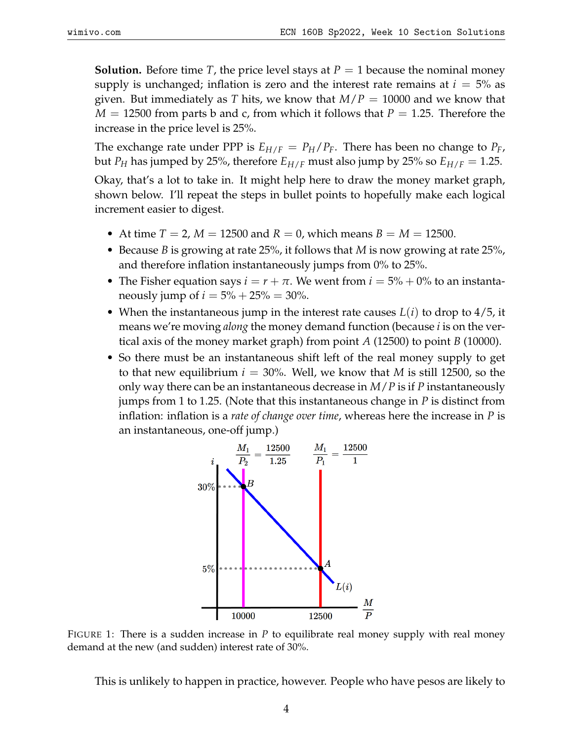**Solution.** Before time *T*, the price level stays at  $P = 1$  because the nominal money supply is unchanged; inflation is zero and the interest rate remains at  $i = 5\%$  as given. But immediately as *T* hits, we know that *M*/*P* = 10000 and we know that  $M = 12500$  from parts b and c, from which it follows that  $P = 1.25$ . Therefore the increase in the price level is 25%.

The exchange rate under PPP is  $E_{H/F} = P_H/P_F$ . There has been no change to  $P_F$ , but *P<sub>H</sub>* has jumped by 25%, therefore  $E_{H/F}$  must also jump by 25% so  $E_{H/F} = 1.25$ .

Okay, that's a lot to take in. It might help here to draw the money market graph, shown below. I'll repeat the steps in bullet points to hopefully make each logical increment easier to digest.

- At time  $T = 2$ ,  $M = 12500$  and  $R = 0$ , which means  $B = M = 12500$ .
- Because *B* is growing at rate 25%, it follows that *M* is now growing at rate 25%, and therefore inflation instantaneously jumps from 0% to 25%.
- The Fisher equation says  $i = r + \pi$ . We went from  $i = 5\% + 0\%$  to an instantaneously jump of  $i = 5\% + 25\% = 30\%$ .
- When the instantaneous jump in the interest rate causes *L*(*i*) to drop to 4/5, it means we're moving *along* the money demand function (because *i* is on the vertical axis of the money market graph) from point *A* (12500) to point *B* (10000).
- So there must be an instantaneous shift left of the real money supply to get to that new equilibrium  $i = 30\%$ . Well, we know that *M* is still 12500, so the only way there can be an instantaneous decrease in *M*/*P* is if *P* instantaneously jumps from 1 to 1.25. (Note that this instantaneous change in *P* is distinct from inflation: inflation is a *rate of change over time*, whereas here the increase in *P* is an instantaneous, one-off jump.)



FIGURE 1: There is a sudden increase in  $P$  to equilibrate real money supply with real money demand at the new (and sudden) interest rate of 30%.

This is unlikely to happen in practice, however. People who have pesos are likely to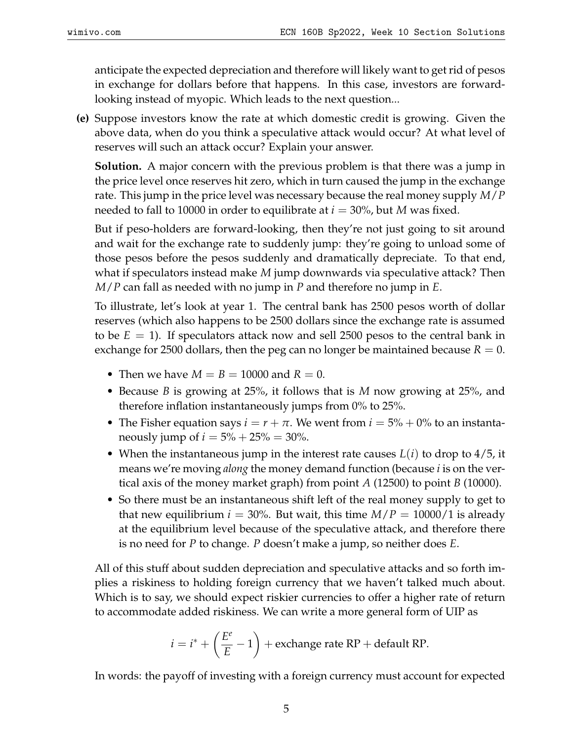anticipate the expected depreciation and therefore will likely want to get rid of pesos in exchange for dollars before that happens. In this case, investors are forwardlooking instead of myopic. Which leads to the next question...

**(e)** Suppose investors know the rate at which domestic credit is growing. Given the above data, when do you think a speculative attack would occur? At what level of reserves will such an attack occur? Explain your answer.

**Solution.** A major concern with the previous problem is that there was a jump in the price level once reserves hit zero, which in turn caused the jump in the exchange rate. This jump in the price level was necessary because the real money supply *M*/*P* needed to fall to 10000 in order to equilibrate at  $i = 30\%$ , but *M* was fixed.

But if peso-holders are forward-looking, then they're not just going to sit around and wait for the exchange rate to suddenly jump: they're going to unload some of those pesos before the pesos suddenly and dramatically depreciate. To that end, what if speculators instead make *M* jump downwards via speculative attack? Then *M*/*P* can fall as needed with no jump in *P* and therefore no jump in *E*.

To illustrate, let's look at year 1. The central bank has 2500 pesos worth of dollar reserves (which also happens to be 2500 dollars since the exchange rate is assumed to be  $E = 1$ ). If speculators attack now and sell 2500 pesos to the central bank in exchange for 2500 dollars, then the peg can no longer be maintained because  $R = 0$ .

- Then we have  $M = B = 10000$  and  $R = 0$ .
- Because *B* is growing at 25%, it follows that is *M* now growing at 25%, and therefore inflation instantaneously jumps from 0% to 25%.
- The Fisher equation says  $i = r + \pi$ . We went from  $i = 5\% + 0\%$  to an instantaneously jump of  $i = 5\% + 25\% = 30\%$ .
- When the instantaneous jump in the interest rate causes *L*(*i*) to drop to 4/5, it means we're moving *along* the money demand function (because *i* is on the vertical axis of the money market graph) from point *A* (12500) to point *B* (10000).
- So there must be an instantaneous shift left of the real money supply to get to that new equilibrium  $i = 30\%$ . But wait, this time  $M/P = 10000/1$  is already at the equilibrium level because of the speculative attack, and therefore there is no need for *P* to change. *P* doesn't make a jump, so neither does *E*.

All of this stuff about sudden depreciation and speculative attacks and so forth implies a riskiness to holding foreign currency that we haven't talked much about. Which is to say, we should expect riskier currencies to offer a higher rate of return to accommodate added riskiness. We can write a more general form of UIP as

$$
i = i^* + \left(\frac{E^e}{E} - 1\right)
$$
 + exchange rate RP + default RP.

In words: the payoff of investing with a foreign currency must account for expected